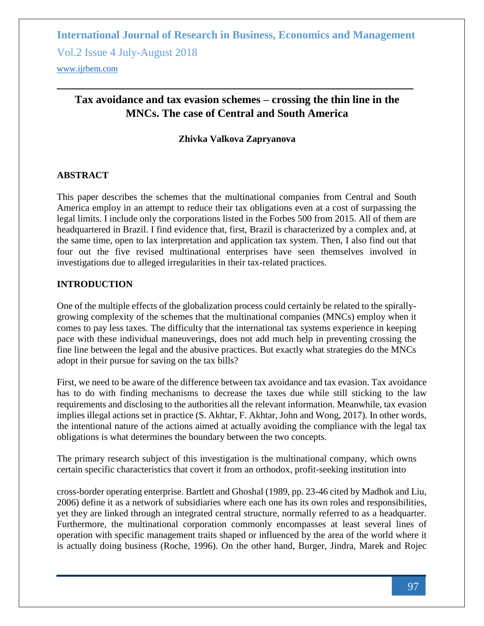Vol.2 Issue 4 July-August 2018

<www.ijrbem.com>

# **Tax avoidance and tax evasion schemes – crossing the thin line in the MNCs. The case of Central and South America**

### **Zhivka Valkova Zapryanova**

#### **ABSTRACT**

This paper describes the schemes that the multinational companies from Central and South America employ in an attempt to reduce their tax obligations even at a cost of surpassing the legal limits. I include only the corporations listed in the Forbes 500 from 2015. All of them are headquartered in Brazil. I find evidence that, first, Brazil is characterized by a complex and, at the same time, open to lax interpretation and application tax system. Then, I also find out that four out the five revised multinational enterprises have seen themselves involved in investigations due to alleged irregularities in their tax-related practices.

### **INTRODUCTION**

One of the multiple effects of the globalization process could certainly be related to the spirallygrowing complexity of the schemes that the multinational companies (MNCs) employ when it comes to pay less taxes. The difficulty that the international tax systems experience in keeping pace with these individual maneuverings, does not add much help in preventing crossing the fine line between the legal and the abusive practices. But exactly what strategies do the MNCs adopt in their pursue for saving on the tax bills?

First, we need to be aware of the difference between tax avoidance and tax evasion. Tax avoidance has to do with finding mechanisms to decrease the taxes due while still sticking to the law requirements and disclosing to the authorities all the relevant information. Meanwhile, tax evasion implies illegal actions set in practice (S. Akhtar, F. Akhtar, John and Wong, 2017). In other words, the intentional nature of the actions aimed at actually avoiding the compliance with the legal tax obligations is what determines the boundary between the two concepts.

The primary research subject of this investigation is the multinational company, which owns certain specific characteristics that covert it from an orthodox, profit-seeking institution into

cross-border operating enterprise. Bartlett and Ghoshal (1989, pp. 23-46 cited by Madhok and Liu, 2006) define it as a network of subsidiaries where each one has its own roles and responsibilities, yet they are linked through an integrated central structure, normally referred to as a headquarter. Furthermore, the multinational corporation commonly encompasses at least several lines of operation with specific management traits shaped or influenced by the area of the world where it is actually doing business (Roche, 1996). On the other hand, Burger, Jindra, Marek and Rojec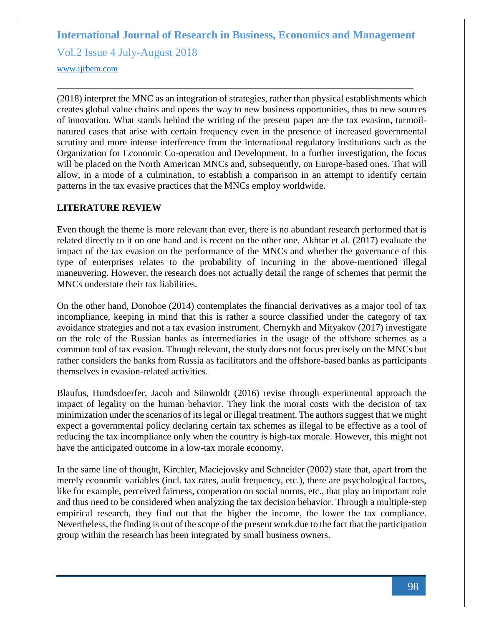Vol.2 Issue 4 July-August 2018

<www.ijrbem.com>

(2018) interpret the MNC as an integration of strategies, rather than physical establishments which creates global value chains and opens the way to new business opportunities, thus to new sources of innovation. What stands behind the writing of the present paper are the tax evasion, turmoilnatured cases that arise with certain frequency even in the presence of increased governmental scrutiny and more intense interference from the international regulatory institutions such as the Organization for Economic Co-operation and Development. In a further investigation, the focus will be placed on the North American MNCs and, subsequently, on Europe-based ones. That will allow, in a mode of a culmination, to establish a comparison in an attempt to identify certain patterns in the tax evasive practices that the MNCs employ worldwide.

#### **LITERATURE REVIEW**

Even though the theme is more relevant than ever, there is no abundant research performed that is related directly to it on one hand and is recent on the other one. Akhtar et al. (2017) evaluate the impact of the tax evasion on the performance of the MNCs and whether the governance of this type of enterprises relates to the probability of incurring in the above-mentioned illegal maneuvering. However, the research does not actually detail the range of schemes that permit the MNCs understate their tax liabilities.

On the other hand, Donohoe (2014) contemplates the financial derivatives as a major tool of tax incompliance, keeping in mind that this is rather a source classified under the category of tax avoidance strategies and not a tax evasion instrument. Chernykh and Mityakov (2017) investigate on the role of the Russian banks as intermediaries in the usage of the offshore schemes as a common tool of tax evasion. Though relevant, the study does not focus precisely on the MNCs but rather considers the banks from Russia as facilitators and the offshore-based banks as participants themselves in evasion-related activities.

Blaufus, Hundsdoerfer, Jacob and Sünwoldt (2016) revise through experimental approach the impact of legality on the human behavior. They link the moral costs with the decision of tax minimization under the scenarios of its legal or illegal treatment. The authors suggest that we might expect a governmental policy declaring certain tax schemes as illegal to be effective as a tool of reducing the tax incompliance only when the country is high-tax morale. However, this might not have the anticipated outcome in a low-tax morale economy.

In the same line of thought, Kirchler, Maciejovsky and Schneider (2002) state that, apart from the merely economic variables (incl. tax rates, audit frequency, etc.), there are psychological factors, like for example, perceived fairness, cooperation on social norms, etc., that play an important role and thus need to be considered when analyzing the tax decision behavior. Through a multiple-step empirical research, they find out that the higher the income, the lower the tax compliance. Nevertheless, the finding is out of the scope of the present work due to the fact that the participation group within the research has been integrated by small business owners.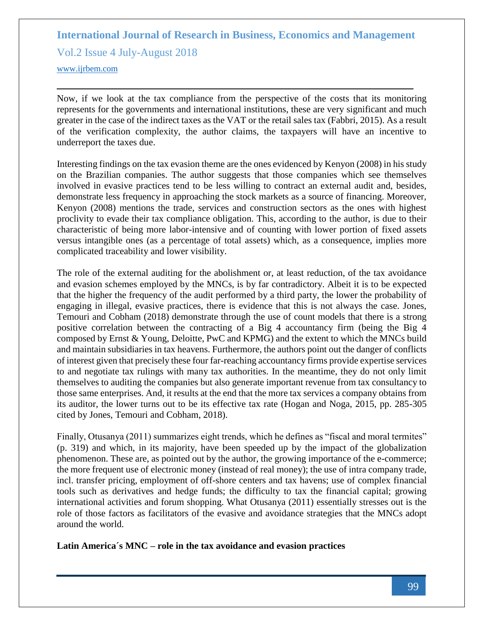Vol.2 Issue 4 July-August 2018

<www.ijrbem.com>

Now, if we look at the tax compliance from the perspective of the costs that its monitoring represents for the governments and international institutions, these are very significant and much greater in the case of the indirect taxes as the VAT or the retail sales tax (Fabbri, 2015). As a result of the verification complexity, the author claims, the taxpayers will have an incentive to underreport the taxes due.

Interesting findings on the tax evasion theme are the ones evidenced by Kenyon (2008) in his study on the Brazilian companies. The author suggests that those companies which see themselves involved in evasive practices tend to be less willing to contract an external audit and, besides, demonstrate less frequency in approaching the stock markets as a source of financing. Moreover, Kenyon (2008) mentions the trade, services and construction sectors as the ones with highest proclivity to evade their tax compliance obligation. This, according to the author, is due to their characteristic of being more labor-intensive and of counting with lower portion of fixed assets versus intangible ones (as a percentage of total assets) which, as a consequence, implies more complicated traceability and lower visibility.

The role of the external auditing for the abolishment or, at least reduction, of the tax avoidance and evasion schemes employed by the MNCs, is by far contradictory. Albeit it is to be expected that the higher the frequency of the audit performed by a third party, the lower the probability of engaging in illegal, evasive practices, there is evidence that this is not always the case. Jones, Temouri and Cobham (2018) demonstrate through the use of count models that there is a strong positive correlation between the contracting of a Big 4 accountancy firm (being the Big 4 composed by Ernst & Young, Deloitte, PwC and KPMG) and the extent to which the MNCs build and maintain subsidiaries in tax heavens. Furthermore, the authors point out the danger of conflicts of interest given that precisely these four far-reaching accountancy firms provide expertise services to and negotiate tax rulings with many tax authorities. In the meantime, they do not only limit themselves to auditing the companies but also generate important revenue from tax consultancy to those same enterprises. And, it results at the end that the more tax services a company obtains from its auditor, the lower turns out to be its effective tax rate (Hogan and Noga, 2015, pp. 285-305 cited by Jones, Temouri and Cobham, 2018).

Finally, Otusanya (2011) summarizes eight trends, which he defines as "fiscal and moral termites" (p. 319) and which, in its majority, have been speeded up by the impact of the globalization phenomenon. These are, as pointed out by the author, the growing importance of the e-commerce; the more frequent use of electronic money (instead of real money); the use of intra company trade, incl. transfer pricing, employment of off-shore centers and tax havens; use of complex financial tools such as derivatives and hedge funds; the difficulty to tax the financial capital; growing international activities and forum shopping. What Otusanya (2011) essentially stresses out is the role of those factors as facilitators of the evasive and avoidance strategies that the MNCs adopt around the world.

#### **Latin America´s MNC – role in the tax avoidance and evasion practices**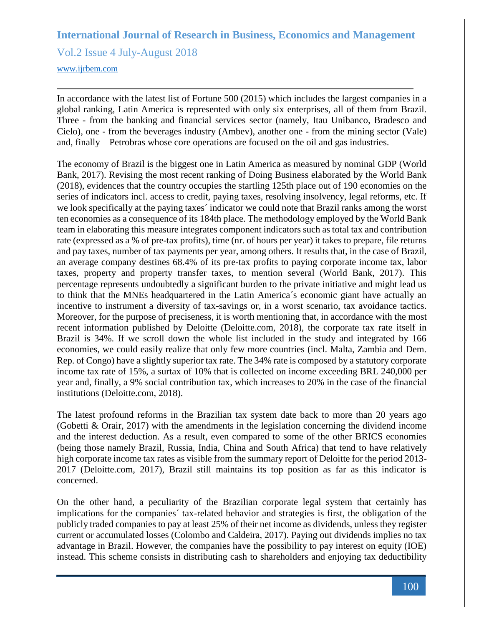Vol.2 Issue 4 July-August 2018

<www.ijrbem.com>

In accordance with the latest list of Fortune 500 (2015) which includes the largest companies in a global ranking, Latin America is represented with only six enterprises, all of them from Brazil. Three - from the banking and financial services sector (namely, Itau Unibanco, Bradesco and Cielo), one - from the beverages industry (Ambev), another one - from the mining sector (Vale) and, finally – Petrobras whose core operations are focused on the oil and gas industries.

The economy of Brazil is the biggest one in Latin America as measured by nominal GDP (World Bank, 2017). Revising the most recent ranking of Doing Business elaborated by the World Bank (2018), evidences that the country occupies the startling 125th place out of 190 economies on the series of indicators incl. access to credit, paying taxes, resolving insolvency, legal reforms, etc. If we look specifically at the paying taxes´ indicator we could note that Brazil ranks among the worst ten economies as a consequence of its 184th place. The methodology employed by the World Bank team in elaborating this measure integrates component indicators such as total tax and contribution rate (expressed as a % of pre-tax profits), time (nr. of hours per year) it takes to prepare, file returns and pay taxes, number of tax payments per year, among others. It results that, in the case of Brazil, an average company destines 68.4% of its pre-tax profits to paying corporate income tax, labor taxes, property and property transfer taxes, to mention several (World Bank, 2017). This percentage represents undoubtedly a significant burden to the private initiative and might lead us to think that the MNEs headquartered in the Latin America´s economic giant have actually an incentive to instrument a diversity of tax-savings or, in a worst scenario, tax avoidance tactics. Moreover, for the purpose of preciseness, it is worth mentioning that, in accordance with the most recent information published by Deloitte (Deloitte.com, 2018), the corporate tax rate itself in Brazil is 34%. If we scroll down the whole list included in the study and integrated by 166 economies, we could easily realize that only few more countries (incl. Malta, Zambia and Dem. Rep. of Congo) have a slightly superior tax rate. The 34% rate is composed by a statutory corporate income tax rate of 15%, a surtax of 10% that is collected on income exceeding BRL 240,000 per year and, finally, a 9% social contribution tax, which increases to 20% in the case of the financial institutions (Deloitte.com, 2018).

The latest profound reforms in the Brazilian tax system date back to more than 20 years ago (Gobetti & Orair, 2017) with the amendments in the legislation concerning the dividend income and the interest deduction. As a result, even compared to some of the other BRICS economies (being those namely Brazil, Russia, India, China and South Africa) that tend to have relatively high corporate income tax rates as visible from the summary report of Deloitte for the period 2013- 2017 (Deloitte.com, 2017), Brazil still maintains its top position as far as this indicator is concerned.

On the other hand, a peculiarity of the Brazilian corporate legal system that certainly has implications for the companies´ tax-related behavior and strategies is first, the obligation of the publicly traded companies to pay at least 25% of their net income as dividends, unless they register current or accumulated losses (Colombo and Caldeira, 2017). Paying out dividends implies no tax advantage in Brazil. However, the companies have the possibility to pay interest on equity (IOE) instead. This scheme consists in distributing cash to shareholders and enjoying tax deductibility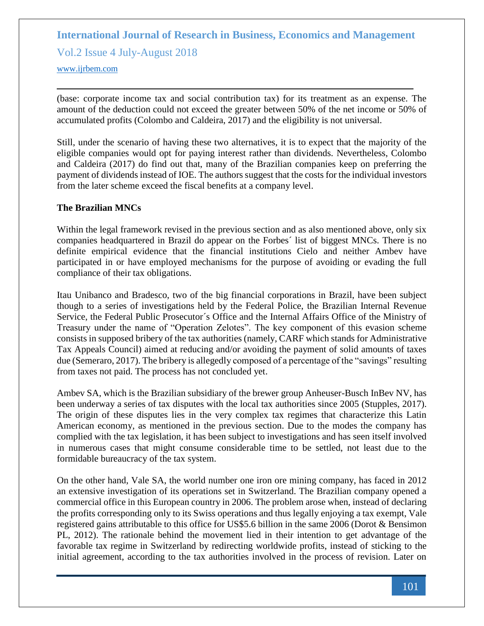Vol.2 Issue 4 July-August 2018

<www.ijrbem.com>

(base: corporate income tax and social contribution tax) for its treatment as an expense. The amount of the deduction could not exceed the greater between 50% of the net income or 50% of accumulated profits (Colombo and Caldeira, 2017) and the eligibility is not universal.

Still, under the scenario of having these two alternatives, it is to expect that the majority of the eligible companies would opt for paying interest rather than dividends. Nevertheless, Colombo and Caldeira (2017) do find out that, many of the Brazilian companies keep on preferring the payment of dividends instead of IOE. The authors suggest that the costs for the individual investors from the later scheme exceed the fiscal benefits at a company level.

#### **The Brazilian MNCs**

Within the legal framework revised in the previous section and as also mentioned above, only six companies headquartered in Brazil do appear on the Forbes´ list of biggest MNCs. There is no definite empirical evidence that the financial institutions Cielo and neither Ambev have participated in or have employed mechanisms for the purpose of avoiding or evading the full compliance of their tax obligations.

Itau Unibanco and Bradesco, two of the big financial corporations in Brazil, have been subject though to a series of investigations held by the Federal Police, the Brazilian Internal Revenue Service, the Federal Public Prosecutor´s Office and the Internal Affairs Office of the Ministry of Treasury under the name of "Operation Zelotes". The key component of this evasion scheme consists in supposed bribery of the tax authorities (namely, CARF which stands for Administrative Tax Appeals Council) aimed at reducing and/or avoiding the payment of solid amounts of taxes due (Semeraro, 2017). The bribery is allegedly composed of a percentage of the "savings" resulting from taxes not paid. The process has not concluded yet.

Ambev SA, which is the Brazilian subsidiary of the brewer group Anheuser-Busch InBev NV, has been underway a series of tax disputes with the local tax authorities since 2005 (Stupples, 2017). The origin of these disputes lies in the very complex tax regimes that characterize this Latin American economy, as mentioned in the previous section. Due to the modes the company has complied with the tax legislation, it has been subject to investigations and has seen itself involved in numerous cases that might consume considerable time to be settled, not least due to the formidable bureaucracy of the tax system.

On the other hand, Vale SA, the world number one iron ore mining company, has faced in 2012 an extensive investigation of its operations set in Switzerland. The Brazilian company opened a commercial office in this European country in 2006. The problem arose when, instead of declaring the profits corresponding only to its Swiss operations and thus legally enjoying a tax exempt, Vale registered gains attributable to this office for US\$5.6 billion in the same 2006 (Dorot & Bensimon PL, 2012). The rationale behind the movement lied in their intention to get advantage of the favorable tax regime in Switzerland by redirecting worldwide profits, instead of sticking to the initial agreement, according to the tax authorities involved in the process of revision. Later on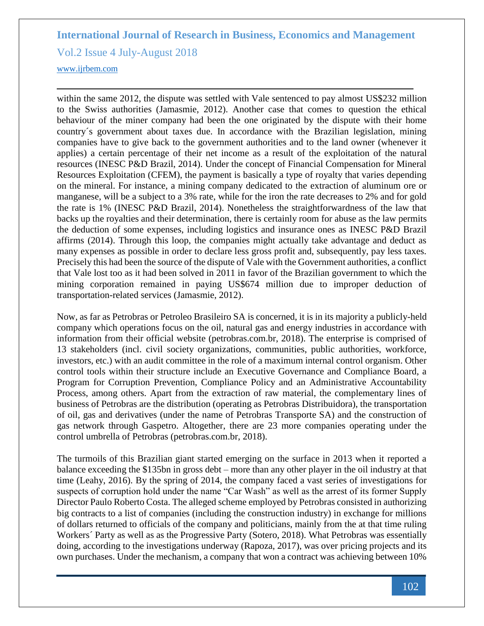Vol.2 Issue 4 July-August 2018

<www.ijrbem.com>

within the same 2012, the dispute was settled with Vale sentenced to pay almost US\$232 million to the Swiss authorities (Jamasmie, 2012). Another case that comes to question the ethical behaviour of the miner company had been the one originated by the dispute with their home country´s government about taxes due. In accordance with the Brazilian legislation, mining companies have to give back to the government authorities and to the land owner (whenever it applies) a certain percentage of their net income as a result of the exploitation of the natural resources (INESC P&D Brazil, 2014). Under the concept of Financial Compensation for Mineral Resources Exploitation (CFEM), the payment is basically a type of royalty that varies depending on the mineral. For instance, a mining company dedicated to the extraction of aluminum ore or manganese, will be a subject to a 3% rate, while for the iron the rate decreases to 2% and for gold the rate is 1% (INESC P&D Brazil, 2014). Nonetheless the straightforwardness of the law that backs up the royalties and their determination, there is certainly room for abuse as the law permits the deduction of some expenses, including logistics and insurance ones as INESC P&D Brazil affirms (2014). Through this loop, the companies might actually take advantage and deduct as many expenses as possible in order to declare less gross profit and, subsequently, pay less taxes. Precisely this had been the source of the dispute of Vale with the Government authorities, a conflict that Vale lost too as it had been solved in 2011 in favor of the Brazilian government to which the mining corporation remained in paying US\$674 million due to improper deduction of transportation-related services (Jamasmie, 2012).

Now, as far as Petrobras or Petroleo Brasileiro SA is concerned, it is in its majority a publicly-held company which operations focus on the oil, natural gas and energy industries in accordance with information from their official website (petrobras.com.br, 2018). The enterprise is comprised of 13 stakeholders (incl. civil society organizations, communities, public authorities, workforce, investors, etc.) with an audit committee in the role of a maximum internal control organism. Other control tools within their structure include an Executive Governance and Compliance Board, a Program for Corruption Prevention, Compliance Policy and an Administrative Accountability Process, among others. Apart from the extraction of raw material, the complementary lines of business of Petrobras are the distribution (operating as Petrobras Distribuidora), the transportation of oil, gas and derivatives (under the name of Petrobras Transporte SA) and the construction of gas network through Gaspetro. Altogether, there are 23 more companies operating under the control umbrella of Petrobras (petrobras.com.br, 2018).

The turmoils of this Brazilian giant started emerging on the surface in 2013 when it reported a balance exceeding the \$135bn in gross debt – more than any other player in the oil industry at that time (Leahy, 2016). By the spring of 2014, the company faced a vast series of investigations for suspects of corruption hold under the name "Car Wash" as well as the arrest of its former Supply Director Paulo Roberto Costa. The alleged scheme employed by Petrobras consisted in authorizing big contracts to a list of companies (including the construction industry) in exchange for millions of dollars returned to officials of the company and politicians, mainly from the at that time ruling Workers´ Party as well as as the Progressive Party (Sotero, 2018). What Petrobras was essentially doing, according to the investigations underway (Rapoza, 2017), was over pricing projects and its own purchases. Under the mechanism, a company that won a contract was achieving between 10%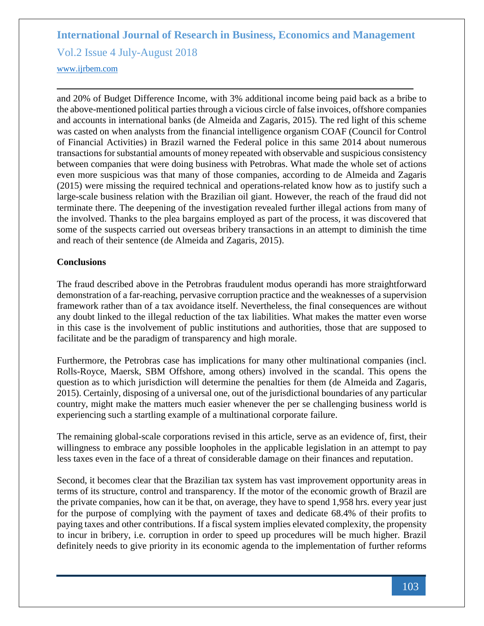Vol.2 Issue 4 July-August 2018

#### <www.ijrbem.com>

and 20% of Budget Difference Income, with 3% additional income being paid back as a bribe to the above-mentioned political parties through a vicious circle of false invoices, offshore companies and accounts in international banks (de Almeida and Zagaris, 2015). The red light of this scheme was casted on when analysts from the financial intelligence organism COAF (Council for Control of Financial Activities) in Brazil warned the Federal police in this same 2014 about numerous transactions for substantial amounts of money repeated with observable and suspicious consistency between companies that were doing business with Petrobras. What made the whole set of actions even more suspicious was that many of those companies, according to de Almeida and Zagaris (2015) were missing the required technical and operations-related know how as to justify such a large-scale business relation with the Brazilian oil giant. However, the reach of the fraud did not terminate there. The deepening of the investigation revealed further illegal actions from many of the involved. Thanks to the plea bargains employed as part of the process, it was discovered that some of the suspects carried out overseas bribery transactions in an attempt to diminish the time and reach of their sentence (de Almeida and Zagaris, 2015).

#### **Conclusions**

The fraud described above in the Petrobras fraudulent modus operandi has more straightforward demonstration of a far-reaching, pervasive corruption practice and the weaknesses of a supervision framework rather than of a tax avoidance itself. Nevertheless, the final consequences are without any doubt linked to the illegal reduction of the tax liabilities. What makes the matter even worse in this case is the involvement of public institutions and authorities, those that are supposed to facilitate and be the paradigm of transparency and high morale.

Furthermore, the Petrobras case has implications for many other multinational companies (incl. Rolls-Royce, Maersk, SBM Offshore, among others) involved in the scandal. This opens the question as to which jurisdiction will determine the penalties for them (de Almeida and Zagaris, 2015). Certainly, disposing of a universal one, out of the jurisdictional boundaries of any particular country, might make the matters much easier whenever the per se challenging business world is experiencing such a startling example of a multinational corporate failure.

The remaining global-scale corporations revised in this article, serve as an evidence of, first, their willingness to embrace any possible loopholes in the applicable legislation in an attempt to pay less taxes even in the face of a threat of considerable damage on their finances and reputation.

Second, it becomes clear that the Brazilian tax system has vast improvement opportunity areas in terms of its structure, control and transparency. If the motor of the economic growth of Brazil are the private companies, how can it be that, on average, they have to spend 1,958 hrs. every year just for the purpose of complying with the payment of taxes and dedicate 68.4% of their profits to paying taxes and other contributions. If a fiscal system implies elevated complexity, the propensity to incur in bribery, i.e. corruption in order to speed up procedures will be much higher. Brazil definitely needs to give priority in its economic agenda to the implementation of further reforms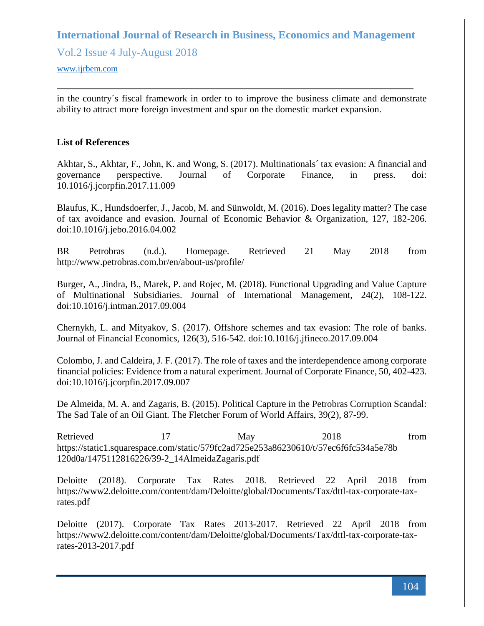Vol.2 Issue 4 July-August 2018

<www.ijrbem.com>

in the country´s fiscal framework in order to to improve the business climate and demonstrate ability to attract more foreign investment and spur on the domestic market expansion.

#### **List of References**

Akhtar, S., Akhtar, F., John, K. and Wong, S. (2017). Multinationals´ tax evasion: A financial and governance perspective. Journal of Corporate Finance, in press. doi: 10.1016/j.jcorpfin.2017.11.009

Blaufus, K., Hundsdoerfer, J., Jacob, M. and Sünwoldt, M. (2016). Does legality matter? The case of tax avoidance and evasion. Journal of Economic Behavior & Organization, 127, 182-206. doi:10.1016/j.jebo.2016.04.002

BR Petrobras (n.d.). Homepage. Retrieved 21 May 2018 from http://www.petrobras.com.br/en/about-us/profile/

Burger, A., Jindra, B., Marek, P. and Rojec, M. (2018). Functional Upgrading and Value Capture of Multinational Subsidiaries. Journal of International Management, 24(2), 108-122. doi:10.1016/j.intman.2017.09.004

Chernykh, L. and Mityakov, S. (2017). Offshore schemes and tax evasion: The role of banks. Journal of Financial Economics, 126(3), 516-542. doi:10.1016/j.jfineco.2017.09.004

Colombo, J. and Caldeira, J. F. (2017). The role of taxes and the interdependence among corporate financial policies: Evidence from a natural experiment. Journal of Corporate Finance, 50, 402-423. doi:10.1016/j.jcorpfin.2017.09.007

De Almeida, M. A. and Zagaris, B. (2015). Political Capture in the Petrobras Corruption Scandal: The Sad Tale of an Oil Giant. The Fletcher Forum of World Affairs, 39(2), 87-99.

Retrieved 17 May 2018 from https://static1.squarespace.com/static/579fc2ad725e253a86230610/t/57ec6f6fc534a5e78b 120d0a/1475112816226/39-2\_14AlmeidaZagaris.pdf

Deloitte (2018). Corporate Tax Rates 2018. Retrieved 22 April 2018 from https://www2.deloitte.com/content/dam/Deloitte/global/Documents/Tax/dttl-tax-corporate-taxrates.pdf

Deloitte (2017). Corporate Tax Rates 2013-2017. Retrieved 22 April 2018 from https://www2.deloitte.com/content/dam/Deloitte/global/Documents/Tax/dttl-tax-corporate-taxrates-2013-2017.pdf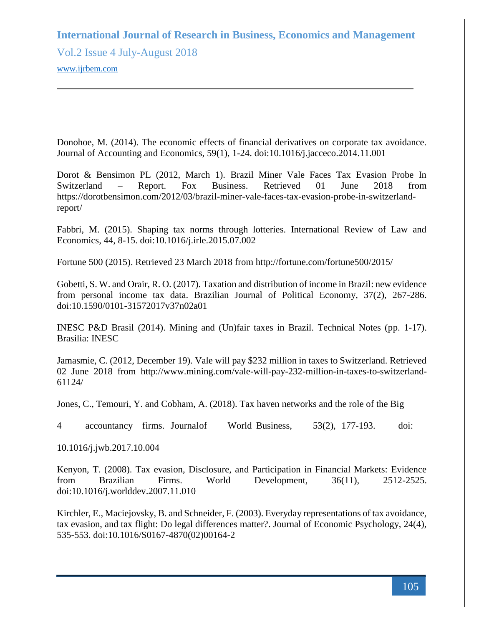Vol.2 Issue 4 July-August 2018 <www.ijrbem.com>

Donohoe, M. (2014). The economic effects of financial derivatives on corporate tax avoidance. Journal of Accounting and Economics, 59(1), 1-24. doi:10.1016/j.jacceco.2014.11.001

Dorot & Bensimon PL (2012, March 1). Brazil Miner Vale Faces Tax Evasion Probe In Switzerland – Report. Fox Business. Retrieved 01 June 2018 from https://dorotbensimon.com/2012/03/brazil-miner-vale-faces-tax-evasion-probe-in-switzerlandreport/

Fabbri, M. (2015). Shaping tax norms through lotteries. International Review of Law and Economics, 44, 8-15. doi:10.1016/j.irle.2015.07.002

Fortune 500 (2015). Retrieved 23 March 2018 from http://fortune.com/fortune500/2015/

Gobetti, S. W. and Orair, R. O. (2017). Taxation and distribution of income in Brazil: new evidence from personal income tax data. Brazilian Journal of Political Economy, 37(2), 267-286. doi:10.1590/0101-31572017v37n02a01

INESC P&D Brasil (2014). Mining and (Un)fair taxes in Brazil. Technical Notes (pp. 1-17). Brasilia: INESC

Jamasmie, C. (2012, December 19). Vale will pay \$232 million in taxes to Switzerland. Retrieved 02 June 2018 from http://www.mining.com/vale-will-pay-232-million-in-taxes-to-switzerland-61124/

Jones, C., Temouri, Y. and Cobham, A. (2018). Tax haven networks and the role of the Big

4 accountancy firms. Journalof World Business, 53(2), 177-193. doi:

10.1016/j.jwb.2017.10.004

Kenyon, T. (2008). Tax evasion, Disclosure, and Participation in Financial Markets: Evidence from Brazilian Firms. World Development, 36(11), 2512-2525. doi:10.1016/j.worlddev.2007.11.010

Kirchler, E., Maciejovsky, B. and Schneider, F. (2003). Everyday representations of tax avoidance, tax evasion, and tax flight: Do legal differences matter?. Journal of Economic Psychology, 24(4), 535-553. doi:10.1016/S0167-4870(02)00164-2